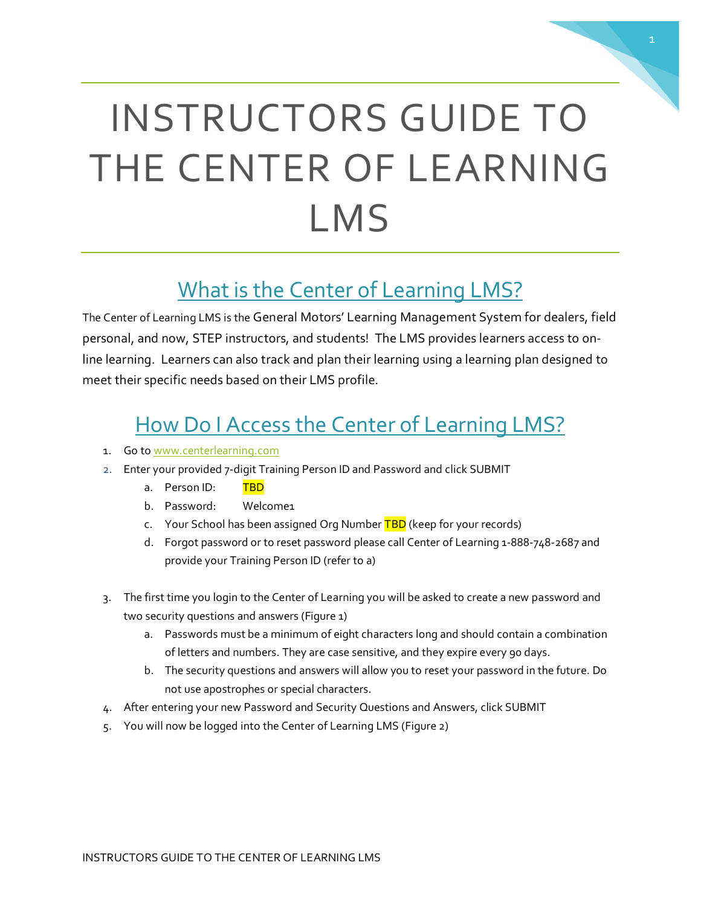# INSTRUCTORS GUIDE TO THE CENTER OF LEARNING LMS

# What is the Center of Learning LMS?

The Center of Learning LMS is the General Motors' Learning Management System for dealers, field personal, and now, STEP instructors, and students! The LMS provides learners access to online learning. Learners can also track and plan their learning using a learning plan designed to meet their specific needs based on their LMS profile.

### How Do I Access the Center of Learning LMS?

- 1. Go to [www.centerlearning.com](http://www.centerlearning.com/)
- 2. Enter your provided 7-digit Training Person ID and Password and click SUBMIT
	- a. Person ID: TBD
	- b. Password: Welcome1
	- c. Your School has been assigned Org Number TBD (keep for your records)
	- d. Forgot password or to reset password please call Center of Learning 1-888-748-2687 and provide your Training Person ID (refer to a)
- 3. The first time you login to the Center of Learning you will be asked to create a new password and two security questions and answers (Figure 1)
	- a. Passwords must be a minimum of eight characters long and should contain a combination of letters and numbers. They are case sensitive, and they expire every 90 days.
	- b. The security questions and answers will allow you to reset your password in the future. Do not use apostrophes or special characters.
- 4. After entering your new Password and Security Questions and Answers, click SUBMIT
- 5. You will now be logged into the Center of Learning LMS (Figure 2)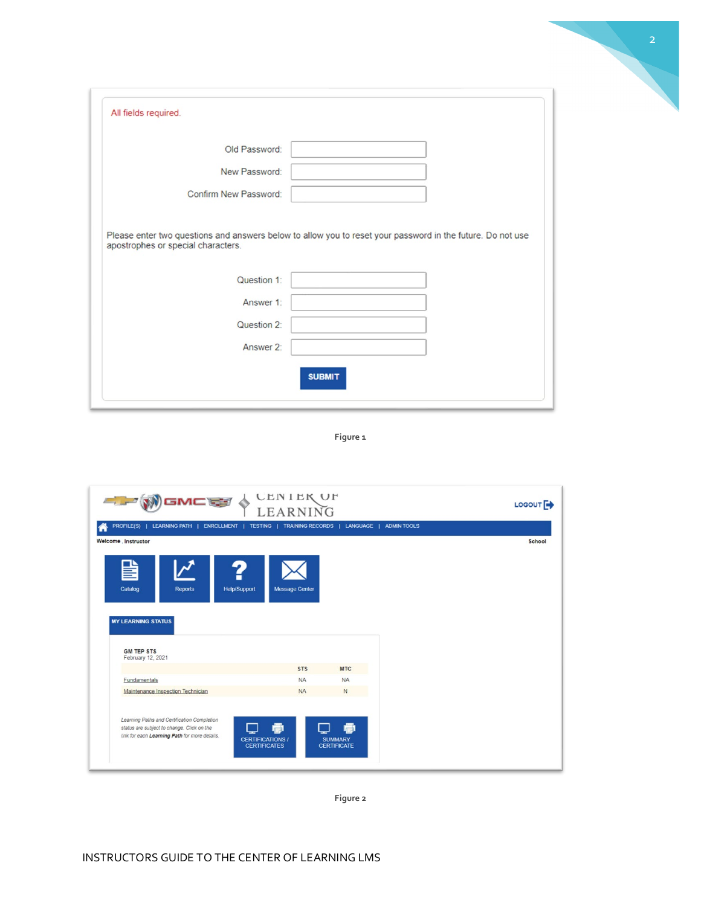2

 $\mathcal{N}$ 

**Figure 1**

| WGMCE O                                     | <b>CENIEK OF</b><br>LEARNING |                         |              |                    |  | LOGOUT <sup>E</sup> |
|---------------------------------------------|------------------------------|-------------------------|--------------|--------------------|--|---------------------|
| <b>LEARNING PATH</b>  <br><b>PROFILE(S)</b> | ENROLLMENT   TESTING         | <b>TRAINING RECORDS</b> | LANGUAGE     | <b>ADMIN TOOLS</b> |  |                     |
| Welcome . Instructor                        |                              |                         |              |                    |  | School              |
| Catalog<br><b>Reports</b>                   | <b>Help/Support</b>          | <b>Message Center</b>   |              |                    |  |                     |
| <b>MY LEARNING STATUS</b>                   |                              |                         |              |                    |  |                     |
| <b>GM TEP STS</b>                           |                              |                         |              |                    |  |                     |
| February 12, 2021                           |                              | <b>STS</b>              | <b>MTC</b>   |                    |  |                     |
| Fundamentals                                |                              | <b>NA</b>               | <b>NA</b>    |                    |  |                     |
| Maintenance Inspection Technician           |                              | <b>NA</b>               | $\mathsf{N}$ |                    |  |                     |

**Figure 2**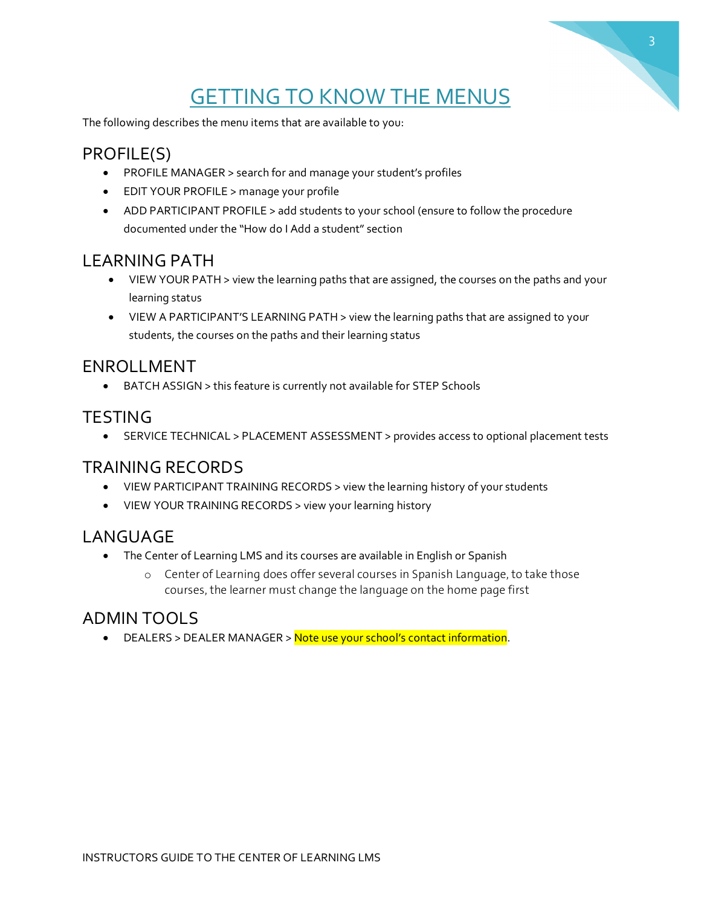# **GETTING TO KNOW THE MENUS**

3

The following describes the menu items that are available to you:

#### PROFILE(S)

- PROFILE MANAGER > search for and manage your student's profiles
- EDIT YOUR PROFILE > manage your profile
- ADD PARTICIPANT PROFILE > add students to your school (ensure to follow the procedure documented under the "How do I Add a student" section

#### LEARNING PATH

- VIEW YOUR PATH > view the learning paths that are assigned, the courses on the paths and your learning status
- VIEW A PARTICIPANT'S LEARNING PATH > view the learning paths that are assigned to your students, the courses on the paths and their learning status

#### ENROLLMENT

• BATCH ASSIGN > this feature is currently not available for STEP Schools

#### **TESTING**

• SERVICE TECHNICAL > PLACEMENT ASSESSMENT > provides access to optional placement tests

#### TRAINING RECORDS

- VIEW PARTICIPANT TRAINING RECORDS > view the learning history of your students
- VIEW YOUR TRAINING RECORDS > view your learning history

#### LANGUAGE

- The Center of Learning LMS and its courses are available in English or Spanish
	- o Center of Learning does offer several courses in Spanish Language, to take those courses, the learner must change the language on the home page first

#### ADMIN TOOLS

• DEALERS > DEALER MANAGER > Note use your school's contact information.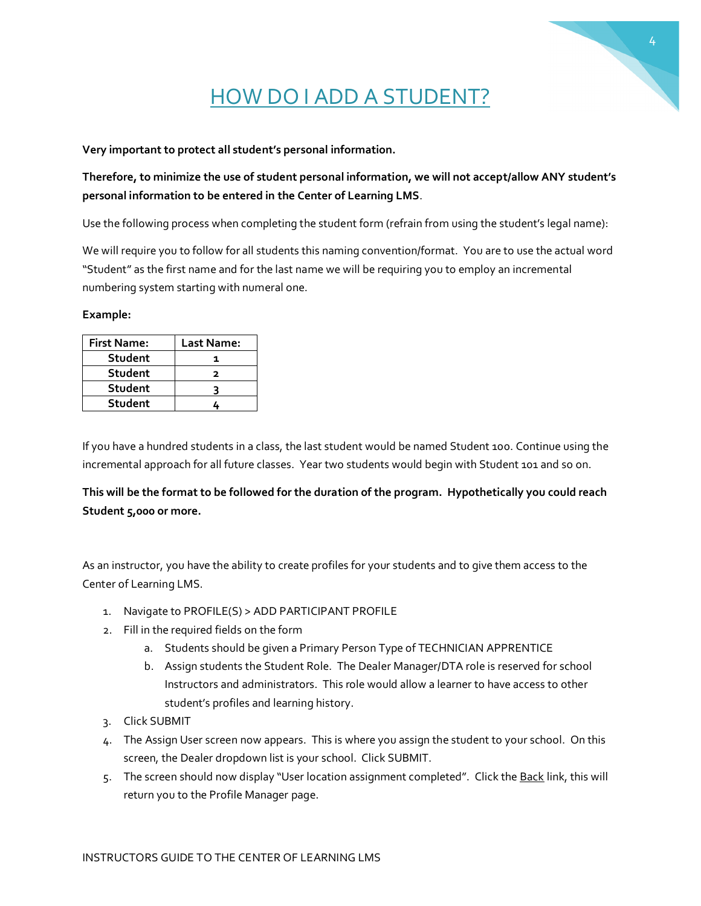# 4

# HOW DO I ADD A STUDENT?

**Very important to protect all student's personal information.** 

#### **Therefore, to minimize the use of student personal information, we will not accept/allow ANY student's personal information to be entered in the Center of Learning LMS**.

Use the following process when completing the student form (refrain from using the student's legal name):

We will require you to follow for all students this naming convention/format. You are to use the actual word "Student" as the first name and for the last name we will be requiring you to employ an incremental numbering system starting with numeral one.

#### **Example:**

| <b>First Name:</b> | Last Name: |
|--------------------|------------|
| Student            |            |
| Student            | ־          |
| Student            |            |
| <b>Student</b>     |            |

If you have a hundred students in a class, the last student would be named Student 100. Continue using the incremental approach for all future classes. Year two students would begin with Student 101 and so on.

**This will be the format to be followed for the duration of the program. Hypothetically you could reach Student 5,000 or more.**

As an instructor, you have the ability to create profiles for your students and to give them access to the Center of Learning LMS.

- 1. Navigate to PROFILE(S) > ADD PARTICIPANT PROFILE
- 2. Fill in the required fields on the form
	- a. Students should be given a Primary Person Type of TECHNICIAN APPRENTICE
	- b. Assign students the Student Role. The Dealer Manager/DTA role is reserved for school Instructors and administrators. This role would allow a learner to have access to other student's profiles and learning history.
- 3. Click SUBMIT
- 4. The Assign User screen now appears. This is where you assign the student to your school. On this screen, the Dealer dropdown list is your school. Click SUBMIT.
- 5. The screen should now display "User location assignment completed". Click the Back link, this will return you to the Profile Manager page.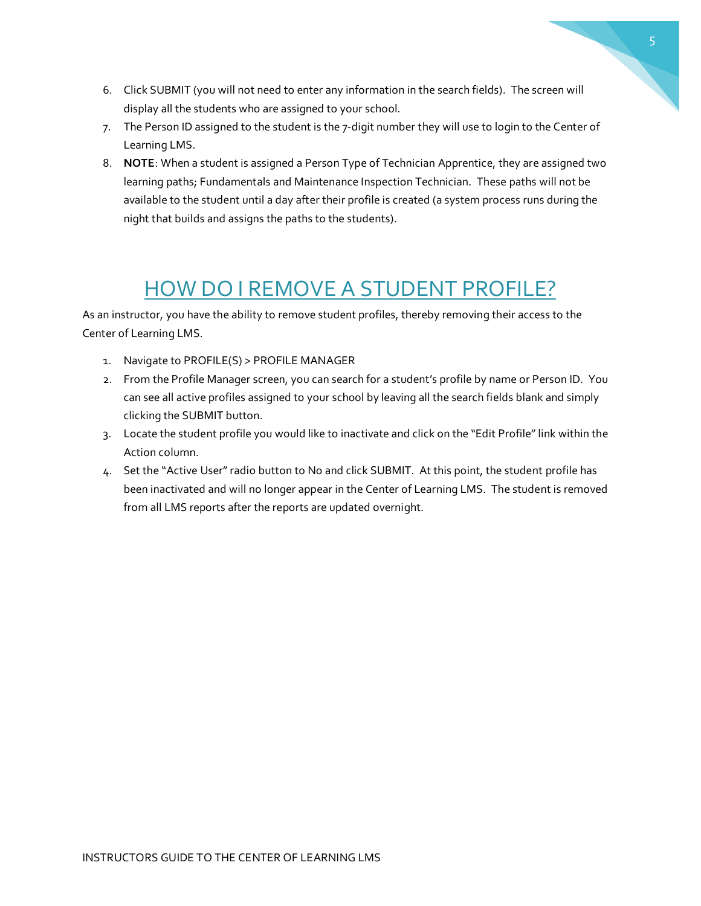- 6. Click SUBMIT (you will not need to enter any information in the search fields). The screen will display all the students who are assigned to your school.
- 7. The Person ID assigned to the student is the 7-digit number they will use to login to the Center of Learning LMS.
- 8. **NOTE**: When a student is assigned a Person Type of Technician Apprentice, they are assigned two learning paths; Fundamentals and Maintenance Inspection Technician. These paths will not be available to the student until a day after their profile is created (a system process runs during the night that builds and assigns the paths to the students).

# HOW DO I REMOVE A STUDENT PROFILE?

As an instructor, you have the ability to remove student profiles, thereby removing their access to the Center of Learning LMS.

- 1. Navigate to PROFILE(S) > PROFILE MANAGER
- 2. From the Profile Manager screen, you can search for a student's profile by name or Person ID. You can see all active profiles assigned to your school by leaving all the search fields blank and simply clicking the SUBMIT button.
- 3. Locate the student profile you would like to inactivate and click on the "Edit Profile" link within the Action column.
- 4. Set the "Active User"radio button to No and click SUBMIT. At this point, the student profile has been inactivated and will no longer appear in the Center of Learning LMS. The student is removed from all LMS reports after the reports are updated overnight.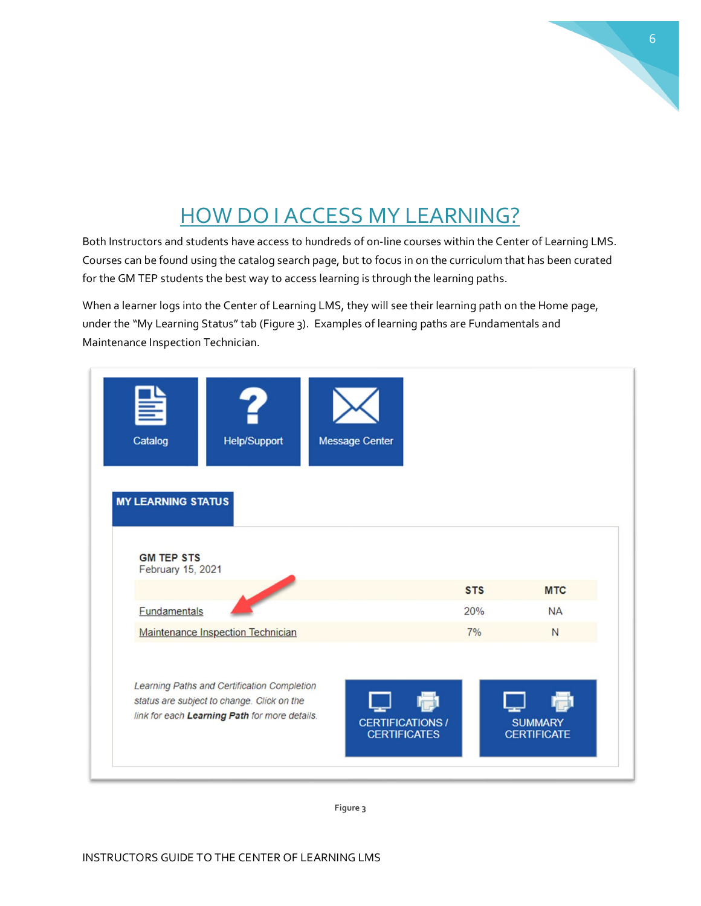# HOW DO I ACCESS MY LEARNING?

Both Instructors and students have access to hundreds of on-line courses within the Center of Learning LMS. Courses can be found using the catalog search page, but to focus in on the curriculum that has been curated for the GM TEP students the best way to access learning is through the learning paths.

When a learner logs into the Center of Learning LMS, they will see their learning path on the Home page, under the "My Learning Status" tab (Figure 3). Examples of learning paths are Fundamentals and Maintenance Inspection Technician.

| ╩<br>Catalog                                                        | <b>Help/Support</b>                                                                                                                        | <b>Message Center</b>                          |            |                                      |
|---------------------------------------------------------------------|--------------------------------------------------------------------------------------------------------------------------------------------|------------------------------------------------|------------|--------------------------------------|
| <b>MY LEARNING STATUS</b><br><b>GM TEP STS</b><br>February 15, 2021 |                                                                                                                                            |                                                |            |                                      |
|                                                                     |                                                                                                                                            |                                                | <b>STS</b> | <b>MTC</b>                           |
| <b>Fundamentals</b>                                                 |                                                                                                                                            |                                                | 20%<br>7%  | <b>NA</b><br>N                       |
|                                                                     | Maintenance Inspection Technician                                                                                                          |                                                |            |                                      |
|                                                                     | Learning Paths and Certification Completion<br>status are subject to change. Click on the<br>link for each Learning Path for more details. | <b>CERTIFICATIONS /</b><br><b>CERTIFICATES</b> |            | <b>SUMMARY</b><br><b>CERTIFICATE</b> |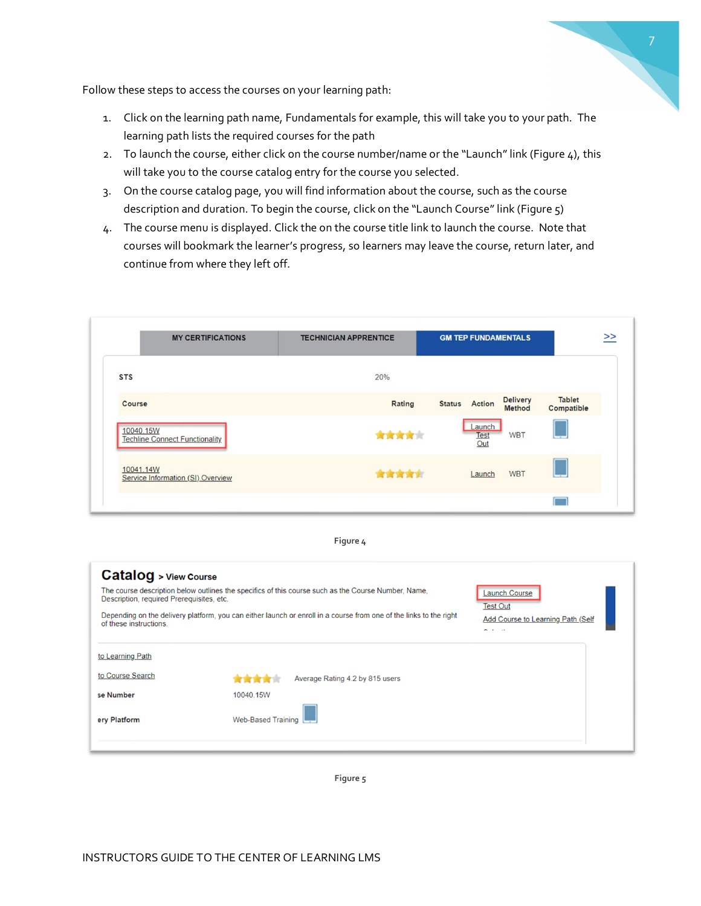

Follow these steps to access the courses on your learning path:

- 1. Click on the learning path name, Fundamentals for example, this will take you to your path. The learning path lists the required courses for the path
- 2. To launch the course, either click on the course number/name or the "Launch" link (Figure 4), this will take you to the course catalog entry for the course you selected.
- 3. On the course catalog page, you will find information about the course, such as the course description and duration. To begin the course, click on the "Launch Course" link (Figure 5)
- 4. The course menu is displayed. Click the on the course title link to launch the course. Note that courses will bookmark the learner's progress, so learners may leave the course, return later, and continue from where they left off.





| <b>Catalog</b> > View Course<br>Description, required Prerequisites, etc.<br>of these instructions. | The course description below outlines the specifics of this course such as the Course Number, Name,<br>Depending on the delivery platform, you can either launch or enroll in a course from one of the links to the right | <b>Launch Course</b><br><b>Test Out</b><br><b>Add Course to Learning Path (Self</b><br>$ -$<br>$\sim$ |
|-----------------------------------------------------------------------------------------------------|---------------------------------------------------------------------------------------------------------------------------------------------------------------------------------------------------------------------------|-------------------------------------------------------------------------------------------------------|
| to Learning Path                                                                                    |                                                                                                                                                                                                                           |                                                                                                       |
| to Course Search                                                                                    | Average Rating 4.2 by 815 users                                                                                                                                                                                           |                                                                                                       |
| se Number                                                                                           | 10040.15W                                                                                                                                                                                                                 |                                                                                                       |
| ery Platform                                                                                        | <b>Web-Based Training</b>                                                                                                                                                                                                 |                                                                                                       |

**Figure 5**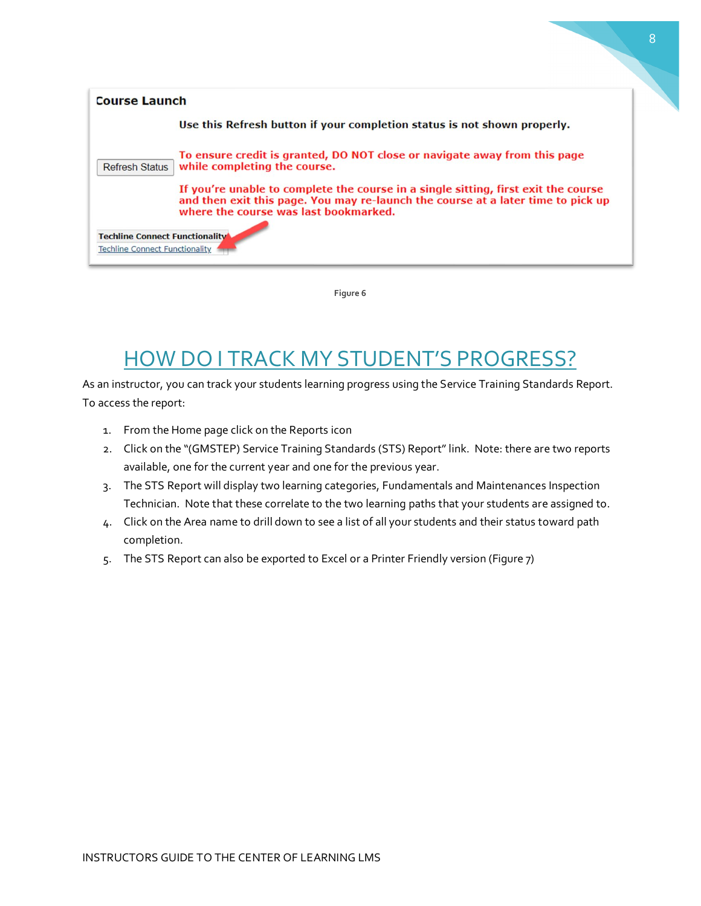

**Figure 6**

# HOW DO I TRACK MY STUDENT'S PROGRESS?

As an instructor, you can track your students learning progress using the Service Training Standards Report. To access the report:

- 1. From the Home page click on the Reports icon
- 2. Click on the "(GMSTEP) Service Training Standards (STS) Report" link. Note: there are two reports available, one for the current year and one for the previous year.
- 3. The STS Report will display two learning categories, Fundamentals and Maintenances Inspection Technician. Note that these correlate to the two learning paths that your students are assigned to.
- 4. Click on the Area name to drill down to see a list of all your students and their status toward path completion.
- 5. The STS Report can also be exported to Excel or a Printer Friendly version (Figure 7)